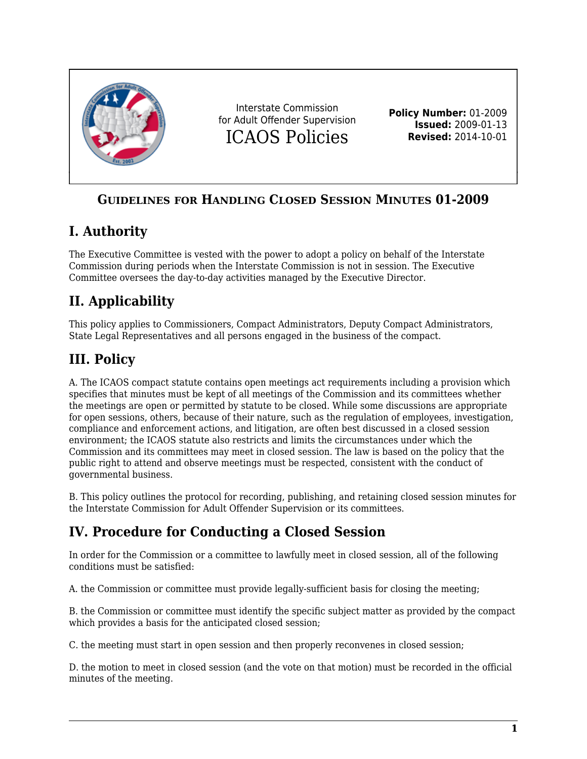

# **GUIDELINES FOR HANDLING CLOSED SESSION MINUTES 01-2009**

# **I. Authority**

The Executive Committee is vested with the power to adopt a policy on behalf of the Interstate Commission during periods when the Interstate Commission is not in session. The Executive Committee oversees the day-to-day activities managed by the Executive Director.

# **II. Applicability**

This policy applies to Commissioners, Compact Administrators, Deputy Compact Administrators, State Legal Representatives and all persons engaged in the business of the compact.

#### **III. Policy**

A. The ICAOS compact statute contains open meetings act requirements including a provision which specifies that minutes must be kept of all meetings of the Commission and its committees whether the meetings are open or permitted by statute to be closed. While some discussions are appropriate for open sessions, others, because of their nature, such as the regulation of employees, investigation, compliance and enforcement actions, and litigation, are often best discussed in a closed session environment; the ICAOS statute also restricts and limits the circumstances under which the Commission and its committees may meet in closed session. The law is based on the policy that the public right to attend and observe meetings must be respected, consistent with the conduct of governmental business.

B. This policy outlines the protocol for recording, publishing, and retaining closed session minutes for the Interstate Commission for Adult Offender Supervision or its committees.

# **IV. Procedure for Conducting a Closed Session**

In order for the Commission or a committee to lawfully meet in closed session, all of the following conditions must be satisfied:

A. the Commission or committee must provide legally-sufficient basis for closing the meeting;

B. the Commission or committee must identify the specific subject matter as provided by the compact which provides a basis for the anticipated closed session;

C. the meeting must start in open session and then properly reconvenes in closed session;

D. the motion to meet in closed session (and the vote on that motion) must be recorded in the official minutes of the meeting.